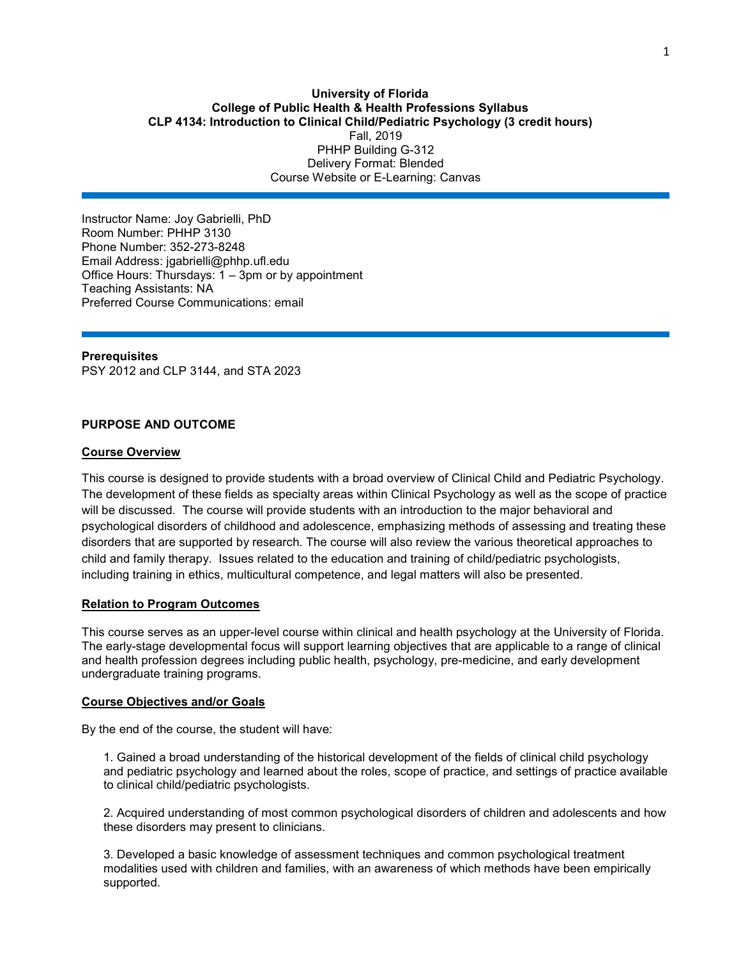### **University of Florida College of Public Health & Health Professions Syllabus CLP 4134: Introduction to Clinical Child/Pediatric Psychology (3 credit hours)** Fall, 2019 PHHP Building G-312 Delivery Format: Blended Course Website or E-Learning: Canvas

Instructor Name: Joy Gabrielli, PhD Room Number: PHHP 3130 Phone Number: 352-273-8248 Email Address: jgabrielli@phhp.ufl.edu Office Hours: Thursdays: 1 – 3pm or by appointment Teaching Assistants: NA Preferred Course Communications: email

**Prerequisites** PSY [2012](https://catalog.ufl.edu/search/?P=PSY%202012) and CLP [3144,](https://catalog.ufl.edu/search/?P=CLP%203144) and STA [2023](https://catalog.ufl.edu/search/?P=STA%202023)

### **PURPOSE AND OUTCOME**

#### **Course Overview**

This course is designed to provide students with a broad overview of Clinical Child and Pediatric Psychology. The development of these fields as specialty areas within Clinical Psychology as well as the scope of practice will be discussed. The course will provide students with an introduction to the major behavioral and psychological disorders of childhood and adolescence, emphasizing methods of assessing and treating these disorders that are supported by research. The course will also review the various theoretical approaches to child and family therapy. Issues related to the education and training of child/pediatric psychologists, including training in ethics, multicultural competence, and legal matters will also be presented.

### **Relation to Program Outcomes**

This course serves as an upper-level course within clinical and health psychology at the University of Florida. The early-stage developmental focus will support learning objectives that are applicable to a range of clinical and health profession degrees including public health, psychology, pre-medicine, and early development undergraduate training programs.

#### **Course Objectives and/or Goals**

By the end of the course, the student will have:

1. Gained a broad understanding of the historical development of the fields of clinical child psychology and pediatric psychology and learned about the roles, scope of practice, and settings of practice available to clinical child/pediatric psychologists.

2. Acquired understanding of most common psychological disorders of children and adolescents and how these disorders may present to clinicians.

3. Developed a basic knowledge of assessment techniques and common psychological treatment modalities used with children and families, with an awareness of which methods have been empirically supported.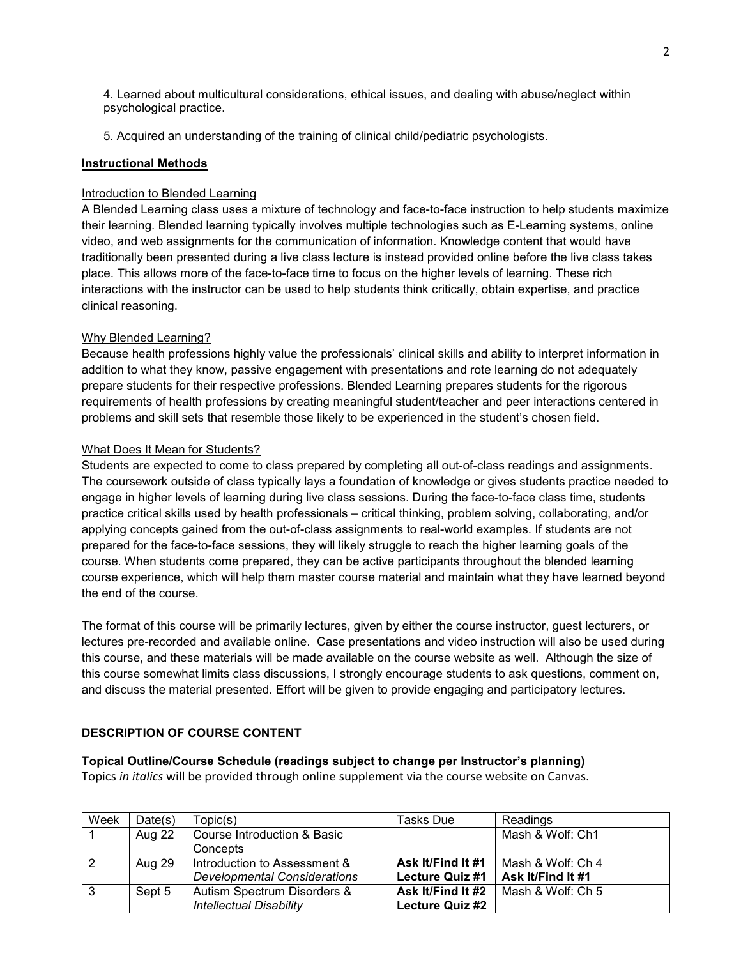4. Learned about multicultural considerations, ethical issues, and dealing with abuse/neglect within psychological practice.

5. Acquired an understanding of the training of clinical child/pediatric psychologists.

## **Instructional Methods**

## Introduction to Blended Learning

A Blended Learning class uses a mixture of technology and face-to-face instruction to help students maximize their learning. Blended learning typically involves multiple technologies such as E-Learning systems, online video, and web assignments for the communication of information. Knowledge content that would have traditionally been presented during a live class lecture is instead provided online before the live class takes place. This allows more of the face-to-face time to focus on the higher levels of learning. These rich interactions with the instructor can be used to help students think critically, obtain expertise, and practice clinical reasoning.

# Why Blended Learning?

Because health professions highly value the professionals' clinical skills and ability to interpret information in addition to what they know, passive engagement with presentations and rote learning do not adequately prepare students for their respective professions. Blended Learning prepares students for the rigorous requirements of health professions by creating meaningful student/teacher and peer interactions centered in problems and skill sets that resemble those likely to be experienced in the student's chosen field.

## What Does It Mean for Students?

Students are expected to come to class prepared by completing all out-of-class readings and assignments. The coursework outside of class typically lays a foundation of knowledge or gives students practice needed to engage in higher levels of learning during live class sessions. During the face-to-face class time, students practice critical skills used by health professionals – critical thinking, problem solving, collaborating, and/or applying concepts gained from the out-of-class assignments to real-world examples. If students are not prepared for the face-to-face sessions, they will likely struggle to reach the higher learning goals of the course. When students come prepared, they can be active participants throughout the blended learning course experience, which will help them master course material and maintain what they have learned beyond the end of the course.

The format of this course will be primarily lectures, given by either the course instructor, guest lecturers, or lectures pre-recorded and available online. Case presentations and video instruction will also be used during this course, and these materials will be made available on the course website as well. Although the size of this course somewhat limits class discussions, I strongly encourage students to ask questions, comment on, and discuss the material presented. Effort will be given to provide engaging and participatory lectures.

# **DESCRIPTION OF COURSE CONTENT**

### **Topical Outline/Course Schedule (readings subject to change per Instructor's planning)**

Topics *in italics* will be provided through online supplement via the course website on Canvas.

| Week | Date(s) | Topic(s)                            | Tasks Due              | Readings          |
|------|---------|-------------------------------------|------------------------|-------------------|
|      | Aug 22  | Course Introduction & Basic         |                        | Mash & Wolf: Ch1  |
|      |         | Concepts                            |                        |                   |
|      | Aug 29  | Introduction to Assessment &        | Ask It/Find It #1      | Mash & Wolf: Ch 4 |
|      |         | <b>Developmental Considerations</b> | <b>Lecture Quiz #1</b> | Ask It/Find It #1 |
|      | Sept 5  | Autism Spectrum Disorders &         | Ask It/Find It #2      | Mash & Wolf: Ch 5 |
|      |         | <b>Intellectual Disability</b>      | Lecture Quiz #2        |                   |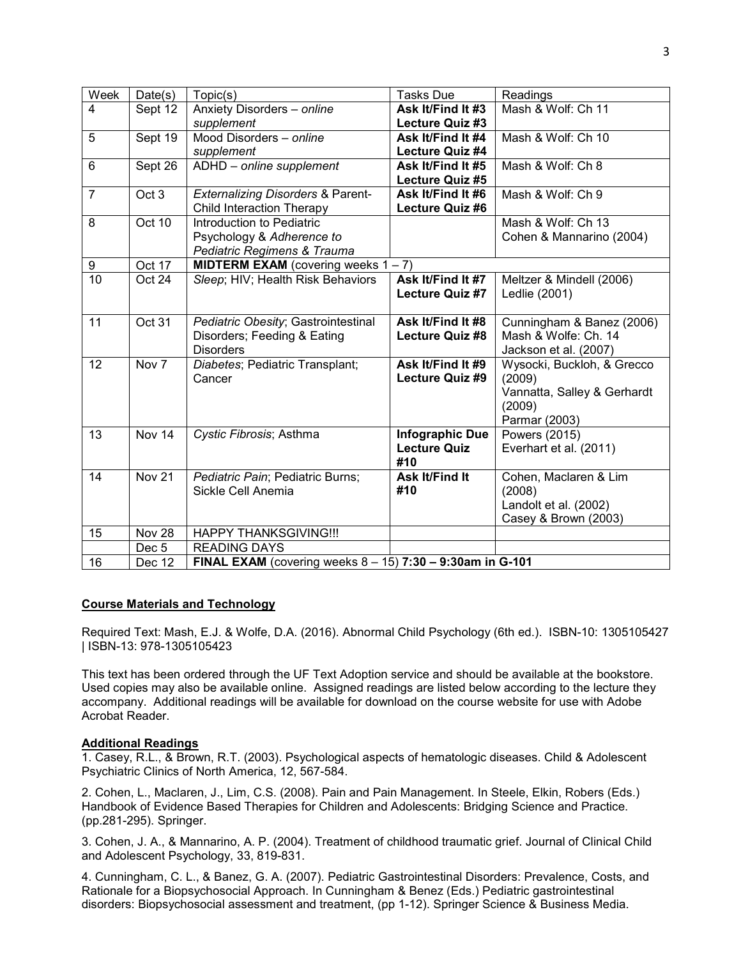| Week            | Date(s)          | Topic(s)                                                            | <b>Tasks Due</b>       | Readings                    |
|-----------------|------------------|---------------------------------------------------------------------|------------------------|-----------------------------|
| 4               | Sept 12          | Anxiety Disorders - online                                          | Ask It/Find It #3      | Mash & Wolf: Ch 11          |
|                 |                  | supplement                                                          | Lecture Quiz #3        |                             |
| 5               | Sept 19          | Mood Disorders - online                                             | Ask It/Find It #4      | Mash & Wolf: Ch 10          |
|                 |                  | supplement                                                          | Lecture Quiz #4        |                             |
| 6               | Sept 26          | ADHD - online supplement                                            | Ask It/Find It #5      | Mash & Wolf: Ch 8           |
|                 |                  |                                                                     | Lecture Quiz #5        |                             |
| $\overline{7}$  | Oct <sub>3</sub> | <b>Externalizing Disorders &amp; Parent-</b>                        | Ask It/Find It #6      | Mash & Wolf: Ch 9           |
|                 |                  | <b>Child Interaction Therapy</b>                                    | Lecture Quiz #6        |                             |
| 8               | Oct 10           | Introduction to Pediatric                                           |                        | Mash & Wolf: Ch 13          |
|                 |                  | Psychology & Adherence to                                           |                        | Cohen & Mannarino (2004)    |
|                 |                  | Pediatric Regimens & Trauma                                         |                        |                             |
| 9               | Oct 17           | <b>MIDTERM EXAM</b> (covering weeks $1 - 7$ )                       |                        |                             |
| $\overline{10}$ | Oct 24           | Sleep; HIV; Health Risk Behaviors                                   | Ask It/Find It #7      | Meltzer & Mindell (2006)    |
|                 |                  |                                                                     | Lecture Quiz #7        | Ledlie (2001)               |
|                 |                  |                                                                     |                        |                             |
| 11              | Oct 31           | Pediatric Obesity; Gastrointestinal                                 | Ask It/Find It #8      | Cunningham & Banez (2006)   |
|                 |                  | Disorders; Feeding & Eating                                         | <b>Lecture Quiz #8</b> | Mash & Wolfe: Ch. 14        |
|                 |                  | <b>Disorders</b>                                                    |                        | Jackson et al. (2007)       |
| 12              | Nov <sub>7</sub> | Diabetes; Pediatric Transplant;                                     | Ask It/Find It #9      | Wysocki, Buckloh, & Grecco  |
|                 |                  | Cancer                                                              | Lecture Quiz #9        | (2009)                      |
|                 |                  |                                                                     |                        | Vannatta, Salley & Gerhardt |
|                 |                  |                                                                     |                        | (2009)                      |
|                 |                  |                                                                     |                        | Parmar (2003)               |
| 13              | Nov 14           | Cystic Fibrosis; Asthma                                             | <b>Infographic Due</b> | <b>Powers (2015)</b>        |
|                 |                  |                                                                     | <b>Lecture Quiz</b>    | Everhart et al. (2011)      |
|                 |                  |                                                                     | #10                    |                             |
| 14              | Nov 21           | Pediatric Pain; Pediatric Burns;                                    | <b>Ask It/Find It</b>  | Cohen, Maclaren & Lim       |
|                 |                  | Sickle Cell Anemia                                                  | #10                    | (2008)                      |
|                 |                  |                                                                     |                        | Landolt et al. (2002)       |
|                 |                  |                                                                     |                        | Casey & Brown (2003)        |
| 15              | Nov 28           | <b>HAPPY THANKSGIVING!!!</b>                                        |                        |                             |
|                 | Dec <sub>5</sub> | <b>READING DAYS</b>                                                 |                        |                             |
| 16              | Dec 12           | <b>FINAL EXAM</b> (covering weeks $8 - 15$ ) 7:30 - 9:30am in G-101 |                        |                             |

### **Course Materials and Technology**

Required Text: Mash, E.J. & Wolfe, D.A. (2016). Abnormal Child Psychology (6th ed.). ISBN-10: 1305105427 | ISBN-13: 978-1305105423

This text has been ordered through the UF Text Adoption service and should be available at the bookstore. Used copies may also be available online. Assigned readings are listed below according to the lecture they accompany. Additional readings will be available for download on the course website for use with Adobe Acrobat Reader.

#### **Additional Readings**

1. Casey, R.L., & Brown, R.T. (2003). Psychological aspects of hematologic diseases. Child & Adolescent Psychiatric Clinics of North America, 12, 567-584.

2. Cohen, L., Maclaren, J., Lim, C.S. (2008). Pain and Pain Management. In Steele, Elkin, Robers (Eds.) Handbook of Evidence Based Therapies for Children and Adolescents: Bridging Science and Practice. (pp.281-295). Springer.

3. Cohen, J. A., & Mannarino, A. P. (2004). Treatment of childhood traumatic grief. Journal of Clinical Child and Adolescent Psychology, 33, 819-831.

4. Cunningham, C. L., & Banez, G. A. (2007). Pediatric Gastrointestinal Disorders: Prevalence, Costs, and Rationale for a Biopsychosocial Approach. In Cunningham & Benez (Eds.) Pediatric gastrointestinal disorders: Biopsychosocial assessment and treatment, (pp 1-12). Springer Science & Business Media.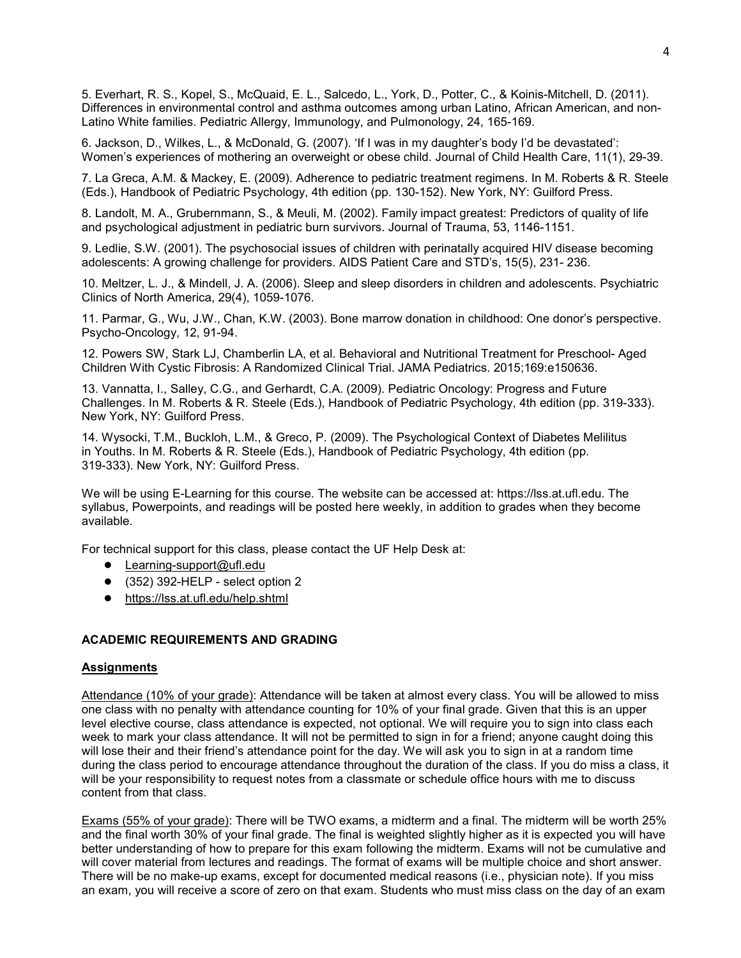5. Everhart, R. S., Kopel, S., McQuaid, E. L., Salcedo, L., York, D., Potter, C., & Koinis-Mitchell, D. (2011). Differences in environmental control and asthma outcomes among urban Latino, African American, and non-Latino White families. Pediatric Allergy, Immunology, and Pulmonology, 24, 165-169.

6. Jackson, D., Wilkes, L., & McDonald, G. (2007). 'If I was in my daughter's body I'd be devastated': Women's experiences of mothering an overweight or obese child. Journal of Child Health Care, 11(1), 29-39.

7. La Greca, A.M. & Mackey, E. (2009). Adherence to pediatric treatment regimens. In M. Roberts & R. Steele (Eds.), Handbook of Pediatric Psychology, 4th edition (pp. 130-152). New York, NY: Guilford Press.

8. Landolt, M. A., Grubernmann, S., & Meuli, M. (2002). Family impact greatest: Predictors of quality of life and psychological adjustment in pediatric burn survivors. Journal of Trauma, 53, 1146-1151.

9. Ledlie, S.W. (2001). The psychosocial issues of children with perinatally acquired HIV disease becoming adolescents: A growing challenge for providers. AIDS Patient Care and STD's, 15(5), 231- 236.

10. Meltzer, L. J., & Mindell, J. A. (2006). Sleep and sleep disorders in children and adolescents. Psychiatric Clinics of North America, 29(4), 1059-1076.

11. Parmar, G., Wu, J.W., Chan, K.W. (2003). Bone marrow donation in childhood: One donor's perspective. Psycho-Oncology, 12, 91-94.

12. Powers SW, Stark LJ, Chamberlin LA, et al. Behavioral and Nutritional Treatment for Preschool- Aged Children With Cystic Fibrosis: A Randomized Clinical Trial. JAMA Pediatrics. 2015;169:e150636.

13. Vannatta, I., Salley, C.G., and Gerhardt, C.A. (2009). Pediatric Oncology: Progress and Future Challenges. In M. Roberts & R. Steele (Eds.), Handbook of Pediatric Psychology, 4th edition (pp. 319-333). New York, NY: Guilford Press.

14. Wysocki, T.M., Buckloh, L.M., & Greco, P. (2009). The Psychological Context of Diabetes Melilitus in Youths. In M. Roberts & R. Steele (Eds.), Handbook of Pediatric Psychology, 4th edition (pp. 319-333). New York, NY: Guilford Press.

We will be using E-Learning for this course. The website can be accessed at: https://lss.at.ufl.edu. The syllabus, Powerpoints, and readings will be posted here weekly, in addition to grades when they become available.

For technical support for this class, please contact the UF Help Desk at:

- Learning-support@ufl.edu
- $\bullet$  (352) 392-HELP select option 2
- <https://lss.at.ufl.edu/help.shtml>

## **ACADEMIC REQUIREMENTS AND GRADING**

#### **Assignments**

Attendance (10% of your grade): Attendance will be taken at almost every class. You will be allowed to miss one class with no penalty with attendance counting for 10% of your final grade. Given that this is an upper level elective course, class attendance is expected, not optional. We will require you to sign into class each week to mark your class attendance. It will not be permitted to sign in for a friend; anyone caught doing this will lose their and their friend's attendance point for the day. We will ask you to sign in at a random time during the class period to encourage attendance throughout the duration of the class. If you do miss a class, it will be your responsibility to request notes from a classmate or schedule office hours with me to discuss content from that class.

Exams (55% of your grade): There will be TWO exams, a midterm and a final. The midterm will be worth 25% and the final worth 30% of your final grade. The final is weighted slightly higher as it is expected you will have better understanding of how to prepare for this exam following the midterm. Exams will not be cumulative and will cover material from lectures and readings. The format of exams will be multiple choice and short answer. There will be no make-up exams, except for documented medical reasons (i.e., physician note). If you miss an exam, you will receive a score of zero on that exam. Students who must miss class on the day of an exam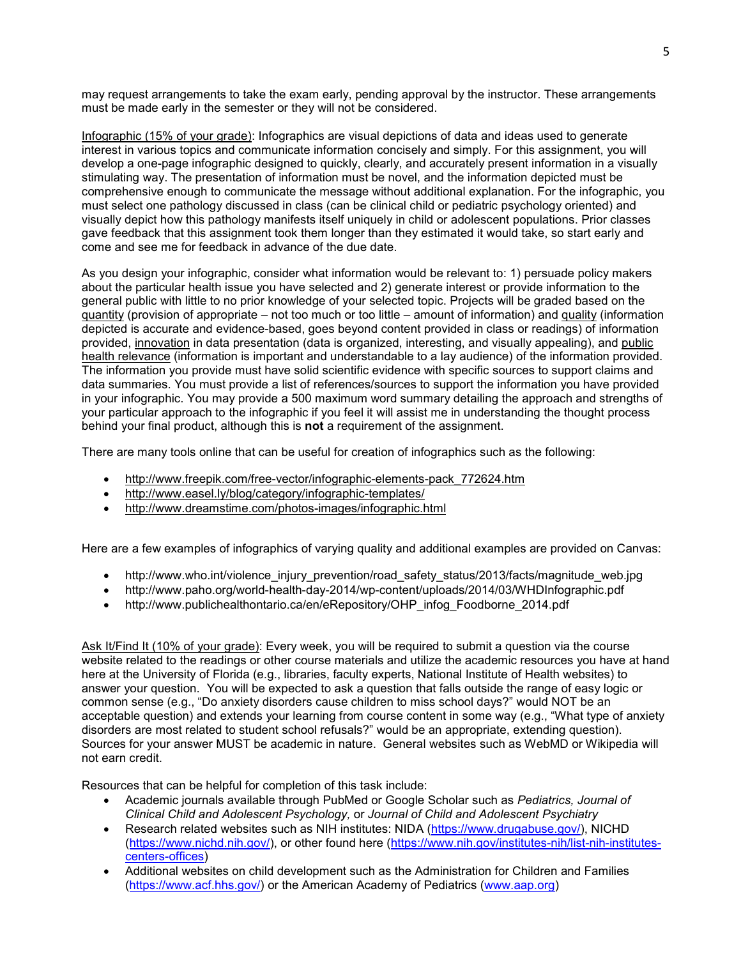may request arrangements to take the exam early, pending approval by the instructor. These arrangements must be made early in the semester or they will not be considered.

Infographic (15% of your grade): Infographics are visual depictions of data and ideas used to generate interest in various topics and communicate information concisely and simply. For this assignment, you will develop a one-page infographic designed to quickly, clearly, and accurately present information in a visually stimulating way. The presentation of information must be novel, and the information depicted must be comprehensive enough to communicate the message without additional explanation. For the infographic, you must select one pathology discussed in class (can be clinical child or pediatric psychology oriented) and visually depict how this pathology manifests itself uniquely in child or adolescent populations. Prior classes gave feedback that this assignment took them longer than they estimated it would take, so start early and come and see me for feedback in advance of the due date.

As you design your infographic, consider what information would be relevant to: 1) persuade policy makers about the particular health issue you have selected and 2) generate interest or provide information to the general public with little to no prior knowledge of your selected topic. Projects will be graded based on the quantity (provision of appropriate – not too much or too little – amount of information) and quality (information depicted is accurate and evidence-based, goes beyond content provided in class or readings) of information provided, innovation in data presentation (data is organized, interesting, and visually appealing), and public health relevance (information is important and understandable to a lay audience) of the information provided. The information you provide must have solid scientific evidence with specific sources to support claims and data summaries. You must provide a list of references/sources to support the information you have provided in your infographic. You may provide a 500 maximum word summary detailing the approach and strengths of your particular approach to the infographic if you feel it will assist me in understanding the thought process behind your final product, although this is **not** a requirement of the assignment.

There are many tools online that can be useful for creation of infographics such as the following:

- [http://www.freepik.com/free-vector/infographic-elements-pack\\_772624.htm](http://www.freepik.com/free-vector/infographic-elements-pack_772624.htm)
- <http://www.easel.ly/blog/category/infographic-templates/>
- <http://www.dreamstime.com/photos-images/infographic.html>

Here are a few examples of infographics of varying quality and additional examples are provided on Canvas:

- http://www.who.int/violence\_injury\_prevention/road\_safety\_status/2013/facts/magnitude\_web.jpg
- http://www.paho.org/world-health-day-2014/wp-content/uploads/2014/03/WHDInfographic.pdf
- http://www.publichealthontario.ca/en/eRepository/OHP\_infog\_Foodborne\_2014.pdf

Ask It/Find It (10% of your grade): Every week, you will be required to submit a question via the course website related to the readings or other course materials and utilize the academic resources you have at hand here at the University of Florida (e.g., libraries, faculty experts, National Institute of Health websites) to answer your question. You will be expected to ask a question that falls outside the range of easy logic or common sense (e.g., "Do anxiety disorders cause children to miss school days?" would NOT be an acceptable question) and extends your learning from course content in some way (e.g., "What type of anxiety disorders are most related to student school refusals?" would be an appropriate, extending question). Sources for your answer MUST be academic in nature. General websites such as WebMD or Wikipedia will not earn credit.

Resources that can be helpful for completion of this task include:

- Academic journals available through PubMed or Google Scholar such as *Pediatrics, Journal of Clinical Child and Adolescent Psychology,* or *Journal of Child and Adolescent Psychiatry*
- Research related websites such as NIH institutes: NIDA [\(https://www.drugabuse.gov/\)](https://www.drugabuse.gov/), NICHD [\(https://www.nichd.nih.gov/\)](https://www.nichd.nih.gov/), or other found here [\(https://www.nih.gov/institutes-nih/list-nih-institutes](https://www.nih.gov/institutes-nih/list-nih-institutes-centers-offices)[centers-offices\)](https://www.nih.gov/institutes-nih/list-nih-institutes-centers-offices)
- Additional websites on child development such as the Administration for Children and Families [\(https://www.acf.hhs.gov/\)](https://www.acf.hhs.gov/) or the American Academy of Pediatrics [\(www.aap.org\)](http://www.aap.org/)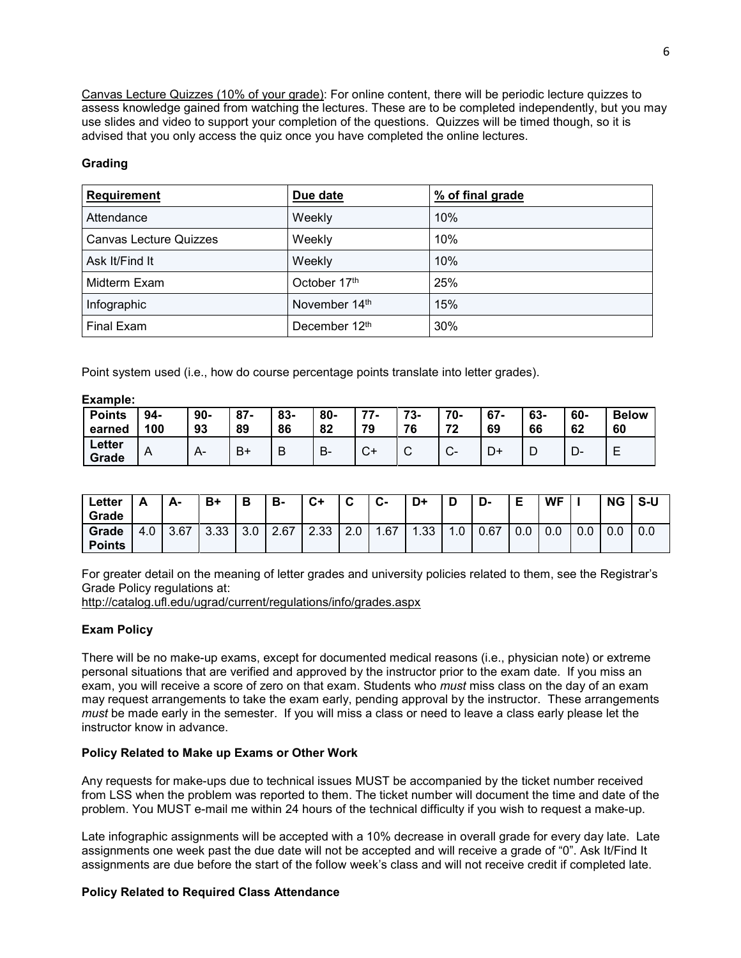Canvas Lecture Quizzes (10% of your grade): For online content, there will be periodic lecture quizzes to assess knowledge gained from watching the lectures. These are to be completed independently, but you may use slides and video to support your completion of the questions. Quizzes will be timed though, so it is advised that you only access the quiz once you have completed the online lectures.

## **Grading**

| <b>Requirement</b>            | Due date      | % of final grade |  |  |  |  |
|-------------------------------|---------------|------------------|--|--|--|--|
| Attendance                    | Weekly        | 10%              |  |  |  |  |
| <b>Canvas Lecture Quizzes</b> | Weekly        | 10%              |  |  |  |  |
| Ask It/Find It                | Weekly        | 10%              |  |  |  |  |
| Midterm Exam                  | October 17th  | 25%              |  |  |  |  |
| Infographic                   | November 14th | 15%              |  |  |  |  |
| Final Exam                    | December 12th | 30%              |  |  |  |  |

Point system used (i.e., how do course percentage points translate into letter grades).

| Example:        |     |       |        |     |     |     |             |              |        |     |     |              |
|-----------------|-----|-------|--------|-----|-----|-----|-------------|--------------|--------|-----|-----|--------------|
| <b>Points</b>   | 94- | $90-$ | $87 -$ | 83- | 80- | 77- | 73-         | 70-          | $67 -$ | 63- | 60- | <b>Below</b> |
| earned          | 100 | 93    | 89     | 86  | 82  | 79  | 76          | 72           | 69     | 66  | 62  | 60           |
| Letter<br>Grade | A   | A-    | B+     | B   | В-  | C+  | $\sim$<br>ັ | $\sim$<br>v- | D+     | ◡   | D-  | ᄂ            |

| Letter<br>Grade        | Δ<br><u>r</u> | А-   | B+             | D<br>о | в-   | ◠⊥<br>◡ | ◠<br>◡    | $\sim$<br><b>ی</b> - | D+                               |     | n<br>-ט | E   | WF  |     | <b>NG</b> | S-U |
|------------------------|---------------|------|----------------|--------|------|---------|-----------|----------------------|----------------------------------|-----|---------|-----|-----|-----|-----------|-----|
| Grade<br><b>Points</b> | 4.0           | 3.67 | _റ ററ<br>ິບ.ບບ | 3.0    | 2.67 | 2.33    | C.<br>z.u | 1.67                 | .33 <sub>1</sub><br>$\mathbf{A}$ | I.U | 0.67    | 0.0 | 0.0 | 0.0 | 0.0       | 0.0 |

For greater detail on the meaning of letter grades and university policies related to them, see the Registrar's Grade Policy regulations at:

<http://catalog.ufl.edu/ugrad/current/regulations/info/grades.aspx>

# **Exam Policy**

There will be no make-up exams, except for documented medical reasons (i.e., physician note) or extreme personal situations that are verified and approved by the instructor prior to the exam date. If you miss an exam, you will receive a score of zero on that exam. Students who *must* miss class on the day of an exam may request arrangements to take the exam early, pending approval by the instructor. These arrangements *must* be made early in the semester. If you will miss a class or need to leave a class early please let the instructor know in advance.

### **Policy Related to Make up Exams or Other Work**

Any requests for make-ups due to technical issues MUST be accompanied by the ticket number received from LSS when the problem was reported to them. The ticket number will document the time and date of the problem. You MUST e-mail me within 24 hours of the technical difficulty if you wish to request a make-up.

Late infographic assignments will be accepted with a 10% decrease in overall grade for every day late. Late assignments one week past the due date will not be accepted and will receive a grade of "0". Ask It/Find It assignments are due before the start of the follow week's class and will not receive credit if completed late.

# **Policy Related to Required Class Attendance**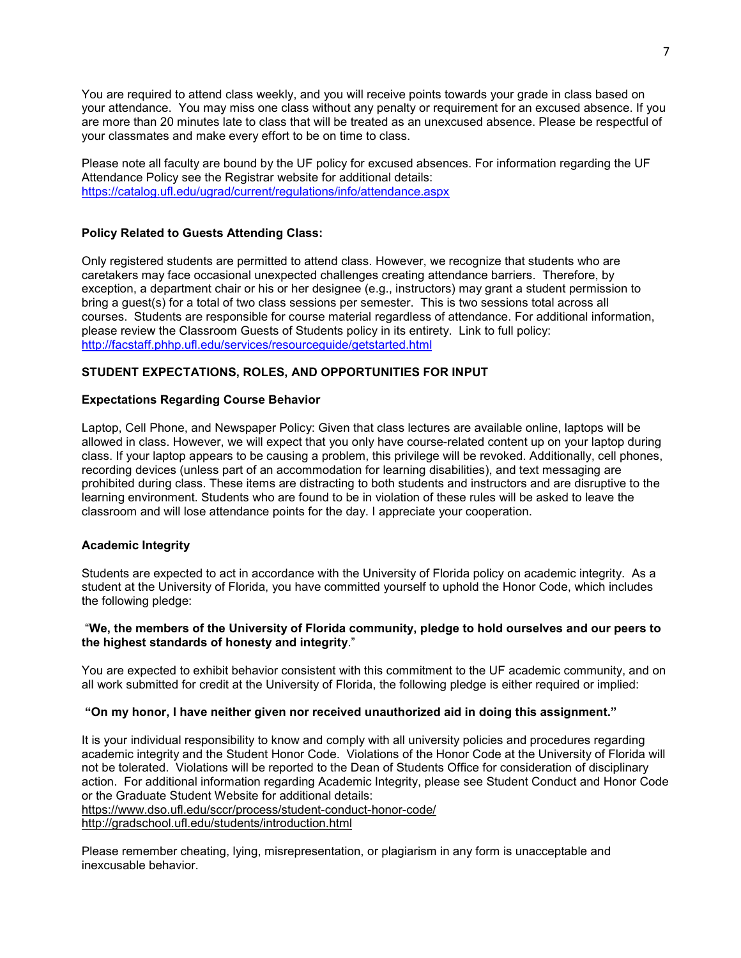You are required to attend class weekly, and you will receive points towards your grade in class based on your attendance. You may miss one class without any penalty or requirement for an excused absence. If you are more than 20 minutes late to class that will be treated as an unexcused absence. Please be respectful of your classmates and make every effort to be on time to class.

Please note all faculty are bound by the UF policy for excused absences. For information regarding the UF Attendance Policy see the Registrar website for additional details: <https://catalog.ufl.edu/ugrad/current/regulations/info/attendance.aspx>

## **Policy Related to Guests Attending Class:**

Only registered students are permitted to attend class. However, we recognize that students who are caretakers may face occasional unexpected challenges creating attendance barriers. Therefore, by exception, a department chair or his or her designee (e.g., instructors) may grant a student permission to bring a guest(s) for a total of two class sessions per semester. This is two sessions total across all courses. Students are responsible for course material regardless of attendance. For additional information, please review the Classroom Guests of Students policy in its entirety. Link to full policy: [http://facstaff.phhp.ufl.edu/services/resourceguide/getstarted.html](http://facstaff.phhp.ufl.edu/services/resourceguide/getstarted.htm)

# **STUDENT EXPECTATIONS, ROLES, AND OPPORTUNITIES FOR INPUT**

### **Expectations Regarding Course Behavior**

Laptop, Cell Phone, and Newspaper Policy: Given that class lectures are available online, laptops will be allowed in class. However, we will expect that you only have course-related content up on your laptop during class. If your laptop appears to be causing a problem, this privilege will be revoked. Additionally, cell phones, recording devices (unless part of an accommodation for learning disabilities), and text messaging are prohibited during class. These items are distracting to both students and instructors and are disruptive to the learning environment. Students who are found to be in violation of these rules will be asked to leave the classroom and will lose attendance points for the day. I appreciate your cooperation.

### **Academic Integrity**

Students are expected to act in accordance with the University of Florida policy on academic integrity. As a student at the University of Florida, you have committed yourself to uphold the Honor Code, which includes the following pledge:

### "**We, the members of the University of Florida community, pledge to hold ourselves and our peers to the highest standards of honesty and integrity**."

You are expected to exhibit behavior consistent with this commitment to the UF academic community, and on all work submitted for credit at the University of Florida, the following pledge is either required or implied:

### **"On my honor, I have neither given nor received unauthorized aid in doing this assignment."**

It is your individual responsibility to know and comply with all university policies and procedures regarding academic integrity and the Student Honor Code. Violations of the Honor Code at the University of Florida will not be tolerated. Violations will be reported to the Dean of Students Office for consideration of disciplinary action. For additional information regarding Academic Integrity, please see Student Conduct and Honor Code or the Graduate Student Website for additional details: <https://www.dso.ufl.edu/sccr/process/student-conduct-honor-code/> <http://gradschool.ufl.edu/students/introduction.html>

Please remember cheating, lying, misrepresentation, or plagiarism in any form is unacceptable and inexcusable behavior.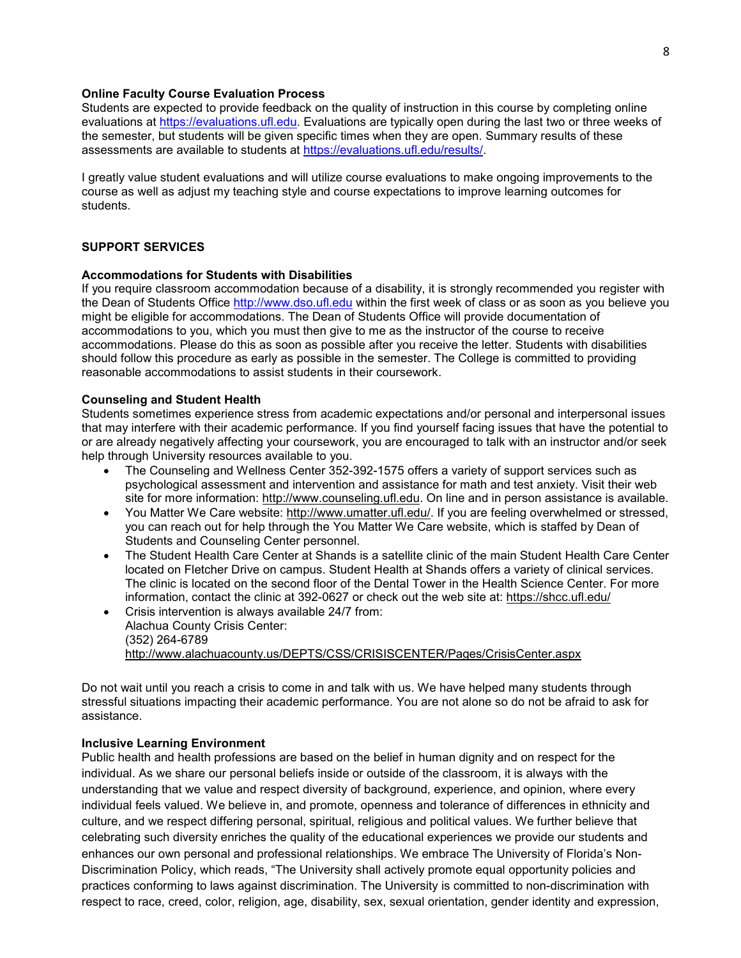### **Online Faculty Course Evaluation Process**

Students are expected to provide feedback on the quality of instruction in this course by completing online evaluations at [https://evaluations.ufl.edu.](https://evaluations.ufl.edu/) Evaluations are typically open during the last two or three weeks of the semester, but students will be given specific times when they are open. Summary results of these assessments are available to students at [https://evaluations.ufl.edu/results/.](https://evaluations.ufl.edu/results/)

I greatly value student evaluations and will utilize course evaluations to make ongoing improvements to the course as well as adjust my teaching style and course expectations to improve learning outcomes for students.

### **SUPPORT SERVICES**

#### **Accommodations for Students with Disabilities**

If you require classroom accommodation because of a disability, it is strongly recommended you register with the Dean of Students Office [http://www.dso.ufl.edu](http://www.dso.ufl.edu/) within the first week of class or as soon as you believe you might be eligible for accommodations. The Dean of Students Office will provide documentation of accommodations to you, which you must then give to me as the instructor of the course to receive accommodations. Please do this as soon as possible after you receive the letter. Students with disabilities should follow this procedure as early as possible in the semester. The College is committed to providing reasonable accommodations to assist students in their coursework.

#### **Counseling and Student Health**

Students sometimes experience stress from academic expectations and/or personal and interpersonal issues that may interfere with their academic performance. If you find yourself facing issues that have the potential to or are already negatively affecting your coursework, you are encouraged to talk with an instructor and/or seek help through University resources available to you.

- The Counseling and Wellness Center 352-392-1575 offers a variety of support services such as psychological assessment and intervention and assistance for math and test anxiety. Visit their web site for more information: [http://www.counseling.ufl.edu.](http://www.counseling.ufl.edu/) On line and in person assistance is available.
- You Matter We Care website: [http://www.umatter.ufl.edu/.](http://www.umatter.ufl.edu/) If you are feeling overwhelmed or stressed, you can reach out for help through the You Matter We Care website, which is staffed by Dean of Students and Counseling Center personnel.
- The Student Health Care Center at Shands is a satellite clinic of the main Student Health Care Center located on Fletcher Drive on campus. Student Health at Shands offers a variety of clinical services. The clinic is located on the second floor of the Dental Tower in the Health Science Center. For more information, contact the clinic at 392-0627 or check out the web site at: <https://shcc.ufl.edu/>
- Crisis intervention is always available 24/7 from: Alachua County Crisis Center: (352) 264-6789 <http://www.alachuacounty.us/DEPTS/CSS/CRISISCENTER/Pages/CrisisCenter.aspx>

Do not wait until you reach a crisis to come in and talk with us. We have helped many students through stressful situations impacting their academic performance. You are not alone so do not be afraid to ask for assistance.

#### **Inclusive Learning Environment**

Public health and health professions are based on the belief in human dignity and on respect for the individual. As we share our personal beliefs inside or outside of the classroom, it is always with the understanding that we value and respect diversity of background, experience, and opinion, where every individual feels valued. We believe in, and promote, openness and tolerance of differences in ethnicity and culture, and we respect differing personal, spiritual, religious and political values. We further believe that celebrating such diversity enriches the quality of the educational experiences we provide our students and enhances our own personal and professional relationships. We embrace The University of Florida's Non-Discrimination Policy, which reads, "The University shall actively promote equal opportunity policies and practices conforming to laws against discrimination. The University is committed to non-discrimination with respect to race, creed, color, religion, age, disability, sex, sexual orientation, gender identity and expression,